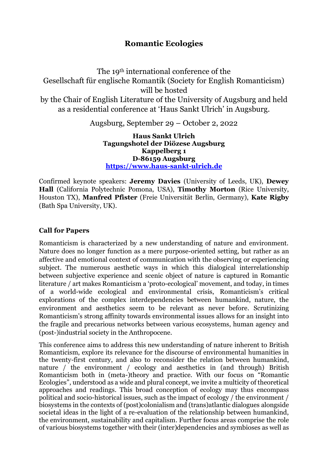## **Romantic Ecologies**

The 19th international conference of the Gesellschaft für englische Romantik (Society for English Romanticism) will be hosted by the Chair of English Literature of the University of Augsburg and held as a residential conference at 'Haus Sankt Ulrich' in Augsburg.

Augsburg, September 29 – October 2, 2022

**Haus Sankt Ulrich Tagungshotel der Diözese Augsburg Kappelberg 1 D-86159 Augsburg [https://www.haus-sankt-ulrich.de](https://www.haus-sankt-ulrich.de/)**

Confirmed keynote speakers: **Jeremy Davies** (University of Leeds, UK), **Dewey Hall** (California Polytechnic Pomona, USA), **Timothy Morton** (Rice University, Houston TX), **Manfred Pfister** (Freie Universität Berlin, Germany), **Kate Rigby** (Bath Spa University, UK).

## **Call for Papers**

Romanticism is characterized by a new understanding of nature and environment. Nature does no longer function as a mere purpose-oriented setting, but rather as an affective and emotional context of communication with the observing or experiencing subject. The numerous aesthetic ways in which this dialogical interrelationship between subjective experience and scenic object of nature is captured in Romantic literature / art makes Romanticism a 'proto-ecological' movement, and today, in times of a world-wide ecological and environmental crisis, Romanticism's critical explorations of the complex interdependencies between humankind, nature, the environment and aesthetics seem to be relevant as never before. Scrutinizing Romanticism's strong affinity towards environmental issues allows for an insight into the fragile and precarious networks between various ecosystems, human agency and (post-)industrial society in the Anthropocene.

This conference aims to address this new understanding of nature inherent to British Romanticism, explore its relevance for the discourse of environmental humanities in the twenty-first century, and also to reconsider the relation between humankind, nature / the environment / ecology and aesthetics in (and through) British Romanticism both in (meta-)theory and practice. With our focus on "Romantic Ecologies", understood as a wide and plural concept, we invite a multicity of theoretical approaches and readings. This broad conception of ecology may thus encompass political and socio-historical issues, such as the impact of ecology / the environment / biosystems in the contexts of (post)colonialism and (trans)atlantic dialogues alongside societal ideas in the light of a re-evaluation of the relationship between humankind, the environment, sustainability and capitalism. Further focus areas comprise the role of various biosystems together with their (inter)dependencies and symbioses as well as